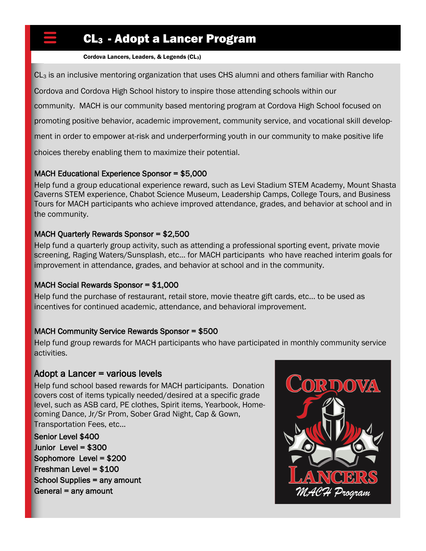## CL3 - Adopt a Lancer Program

Cordova Lancers, Leaders, & Legends (CL3)

 $CL<sub>3</sub>$  is an inclusive mentoring organization that uses CHS alumni and others familiar with Rancho

Cordova and Cordova High School history to inspire those attending schools within our

community. MACH is our community based mentoring program at Cordova High School focused on

promoting positive behavior, academic improvement, community service, and vocational skill develop-

ment in order to empower at-risk and underperforming youth in our community to make positive life

choices thereby enabling them to maximize their potential.

#### MACH Educational Experience Sponsor = \$5,000

Help fund a group educational experience reward, such as Levi Stadium STEM Academy, Mount Shasta Caverns STEM experience, Chabot Science Museum, Leadership Camps, College Tours, and Business Tours for MACH participants who achieve improved attendance, grades, and behavior at school and in the community.

### MACH Quarterly Rewards Sponsor = \$2,500

Help fund a quarterly group activity, such as attending a professional sporting event, private movie screening, Raging Waters/Sunsplash, etc… for MACH participants who have reached interim goals for improvement in attendance, grades, and behavior at school and in the community.

#### MACH Social Rewards Sponsor = \$1,000

Help fund the purchase of restaurant, retail store, movie theatre gift cards, etc... to be used as incentives for continued academic, attendance, and behavioral improvement.

### MACH Community Service Rewards Sponsor = \$500

Help fund group rewards for MACH participants who have participated in monthly community service activities.

### Adopt a Lancer = various levels

Help fund school based rewards for MACH participants. Donation covers cost of items typically needed/desired at a specific grade level, such as ASB card, PE clothes, Spirit items, Yearbook, Homecoming Dance, Jr/Sr Prom, Sober Grad Night, Cap & Gown, Transportation Fees, etc...

Senior Level \$400 Junior Level = \$300 Sophomore Level = \$200 Freshman Level = \$100 School Supplies = any amount General = any amount